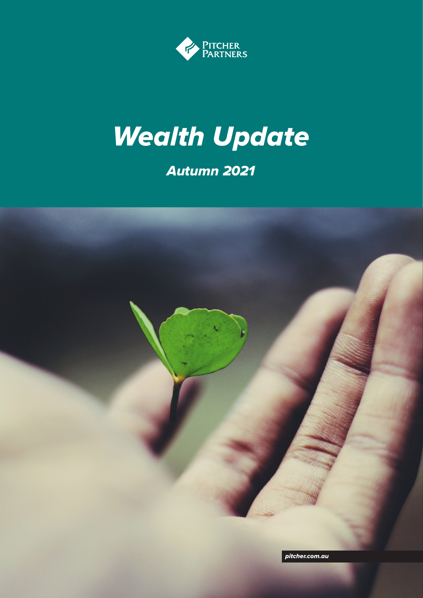

# *Wealth Update*

# *Autumn 2021*

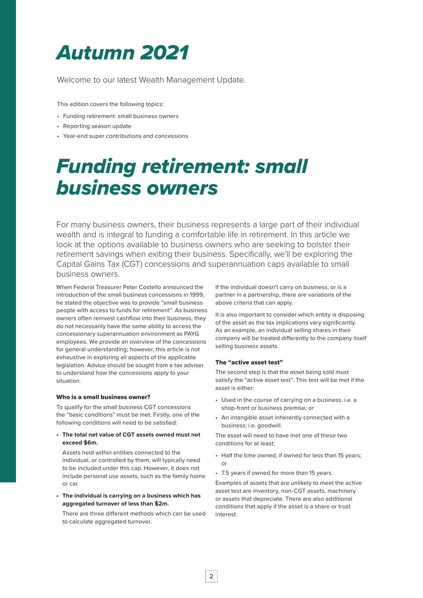# *Autumn 2021*

Welcome to our latest Wealth Management Update.

This edition covers the following topics:

- Funding retirement: small business owners
- Reporting season update
- Year-end super contributions and concessions

# *Funding retirement: small business owners*

For many business owners, their business represents a large part of their individual wealth and is integral to funding a comfortable life in retirement. In this article we look at the options available to business owners who are seeking to bolster their retirement savings when exiting their business. Specifically, we'll be exploring the Capital Gains Tax (CGT) concessions and superannuation caps available to small business owners.

When Federal Treasurer Peter Costello announced the introduction of the small business concessions in 1999, he stated the objective was to provide "small business people with access to funds for retirement". As business owners often reinvest cashflow into their business, they do not necessarily have the same ability to access the concessionary superannuation environment as PAYG employees. We provide an overview of the concessions for general understanding; however, this article is not exhaustive in exploring all aspects of the applicable legislation. Advice should be sought from a tax adviser to understand how the concessions apply to your situation.

#### Who is a small business owner?

To qualify for the small business CGT concessions the "basic conditions" must be met. Firstly, one of the following conditions will need to be satisfied:

**• The total net value of CGT assets owned must not exceed \$6m.**

Assets held within entities connected to the individual, or controlled by them, will typically need to be included under this cap. However, it does not include personal use assets, such as the family home or car.

**• The individual is carrying on a business which has aggregated turnover of less than \$2m.**

There are three different methods which can be used to calculate aggregated turnover.

If the individual doesn't carry on business, or is a partner in a partnership, there are variations of the above criteria that can apply.

It is also important to consider which entity is disposing of the asset as the tax implications vary significantly. As an example, an individual selling shares in their company will be treated differently to the company itself selling business assets.

#### The "active asset test"

The second step is that the asset being sold must satisfy the "active asset test". This test will be met if the asset is either:

- Used in the course of carrying on a business. i.e. a shop-front or business premise; or
- An intangible asset inherently connected with a business; i.e. goodwill.

The asset will need to have met one of these two conditions for at least:

- Half the time owned, if owned for less than 15 years; or
- 7.5 years if owned for more than 15 years.

Examples of assets that are unlikely to meet the active asset test are inventory, non-CGT assets, machinery or assets that depreciate. There are also additional conditions that apply if the asset is a share or trust interest.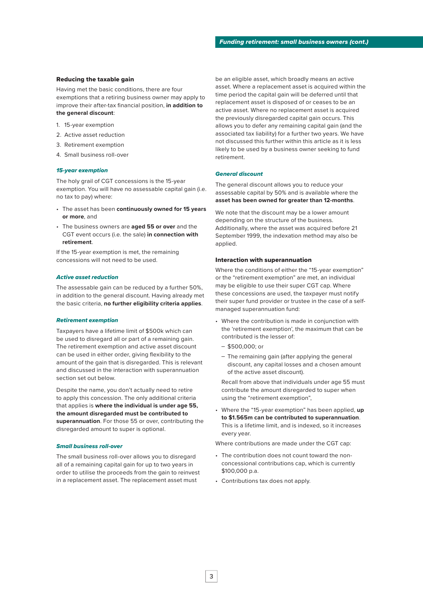#### Reducing the taxable gain

Having met the basic conditions, there are four exemptions that a retiring business owner may apply to improve their after-tax financial position, **in addition to the general discount**:

- 1. 15-year exemption
- 2. Active asset reduction
- 3. Retirement exemption
- 4. Small business roll-over

#### *15-year exemption*

The holy grail of CGT concessions is the 15-year exemption. You will have no assessable capital gain (i.e. no tax to pay) where:

- The asset has been **continuously owned for 15 years or more**, and
- The business owners are **aged 55 or over** and the CGT event occurs (i.e. the sale) **in connection with retirement**.

If the 15-year exemption is met, the remaining concessions will not need to be used.

#### *Active asset reduction*

The assessable gain can be reduced by a further 50%, in addition to the general discount. Having already met the basic criteria, **no further eligibility criteria applies**.

#### *Retirement exemption*

Taxpayers have a lifetime limit of \$500k which can be used to disregard all or part of a remaining gain. The retirement exemption and active asset discount can be used in either order, giving flexibility to the amount of the gain that is disregarded. This is relevant and discussed in the interaction with superannuation section set out below.

Despite the name, you don't actually need to retire to apply this concession. The only additional criteria that applies is **where the individual is under age 55, the amount disregarded must be contributed to superannuation**. For those 55 or over, contributing the disregarded amount to super is optional.

#### *Small business roll-over*

The small business roll-over allows you to disregard all of a remaining capital gain for up to two years in order to utilise the proceeds from the gain to reinvest in a replacement asset. The replacement asset must

be an eligible asset, which broadly means an active asset. Where a replacement asset is acquired within the time period the capital gain will be deferred until that replacement asset is disposed of or ceases to be an active asset. Where no replacement asset is acquired the previously disregarded capital gain occurs. This allows you to defer any remaining capital gain (and the associated tax liability) for a further two years. We have not discussed this further within this article as it is less likely to be used by a business owner seeking to fund retirement.

#### *General discount*

The general discount allows you to reduce your assessable capital by 50% and is available where the **asset has been owned for greater than 12-months**.

We note that the discount may be a lower amount depending on the structure of the business. Additionally, where the asset was acquired before 21 September 1999, the indexation method may also be applied.

#### Interaction with superannuation

Where the conditions of either the "15-year exemption" or the "retirement exemption" are met, an individual may be eligible to use their super CGT cap. Where these concessions are used, the taxpayer must notify their super fund provider or trustee in the case of a selfmanaged superannuation fund:

- Where the contribution is made in conjunction with the 'retirement exemption', the maximum that can be contributed is the lesser of:
	- \$500,000; or
	- The remaining gain (after applying the general discount, any capital losses and a chosen amount of the active asset discount).

Recall from above that individuals under age 55 must contribute the amount disregarded to super when using the "retirement exemption",

• Where the "15-year exemption" has been applied, **up to \$1.565m can be contributed to superannuation**. This is a lifetime limit, and is indexed, so it increases every year.

Where contributions are made under the CGT cap:

- The contribution does not count toward the nonconcessional contributions cap, which is currently \$100,000 p.a.
- Contributions tax does not apply.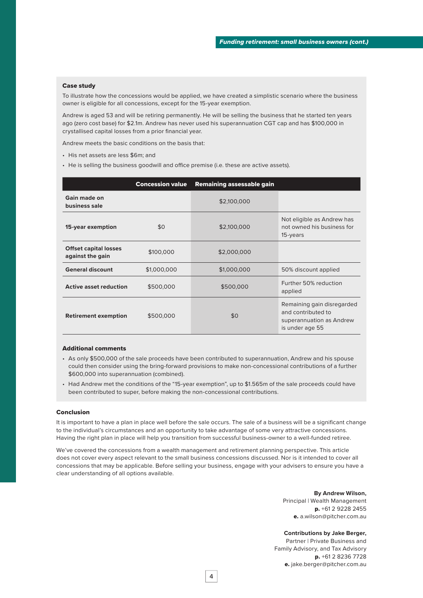#### Case study

To illustrate how the concessions would be applied, we have created a simplistic scenario where the business owner is eligible for all concessions, except for the 15-year exemption.

Andrew is aged 53 and will be retiring permanently. He will be selling the business that he started ten years ago (zero cost base) for \$2.1m. Andrew has never used his superannuation CGT cap and has \$100,000 in crystallised capital losses from a prior financial year.

Andrew meets the basic conditions on the basis that:

- His net assets are less \$6m; and
- He is selling the business goodwill and office premise (i.e. these are active assets).

|                                                  | <b>Concession value</b> | Remaining assessable gain |                                                                                                 |
|--------------------------------------------------|-------------------------|---------------------------|-------------------------------------------------------------------------------------------------|
| Gain made on<br>business sale                    |                         | \$2,100,000               |                                                                                                 |
| 15-year exemption                                | \$0                     | \$2,100,000               | Not eligible as Andrew has<br>not owned his business for<br>15-years                            |
| <b>Offset capital losses</b><br>against the gain | \$100,000               | \$2,000,000               |                                                                                                 |
| <b>General discount</b>                          | \$1,000,000             | \$1,000,000               | 50% discount applied                                                                            |
| <b>Active asset reduction</b>                    | \$500,000               | \$500,000                 | Further 50% reduction<br>applied                                                                |
| <b>Retirement exemption</b>                      | \$500,000               | \$0                       | Remaining gain disregarded<br>and contributed to<br>superannuation as Andrew<br>is under age 55 |

#### Additional comments

- As only \$500,000 of the sale proceeds have been contributed to superannuation, Andrew and his spouse could then consider using the bring-forward provisions to make non-concessional contributions of a further \$600,000 into superannuation (combined).
- Had Andrew met the conditions of the "15-year exemption", up to \$1.565m of the sale proceeds could have been contributed to super, before making the non-concessional contributions.

#### Conclusion

It is important to have a plan in place well before the sale occurs. The sale of a business will be a significant change to the individual's circumstances and an opportunity to take advantage of some very attractive concessions. Having the right plan in place will help you transition from successful business-owner to a well-funded retiree.

We've covered the concessions from a wealth management and retirement planning perspective. This article does not cover every aspect relevant to the small business concessions discussed. Nor is it intended to cover all concessions that may be applicable. Before selling your business, engage with your advisers to ensure you have a clear understanding of all options available.

> **By Andrew Wilson,** Principal | Wealth Management p. +61 2 9228 2455 e. a.wilson@pitcher.com.au

# **Contributions by Jake Berger,**

Partner | Private Business and Family Advisory, and Tax Advisory p. +61 2 8236 7728 e. jake.berger@pitcher.com.au

4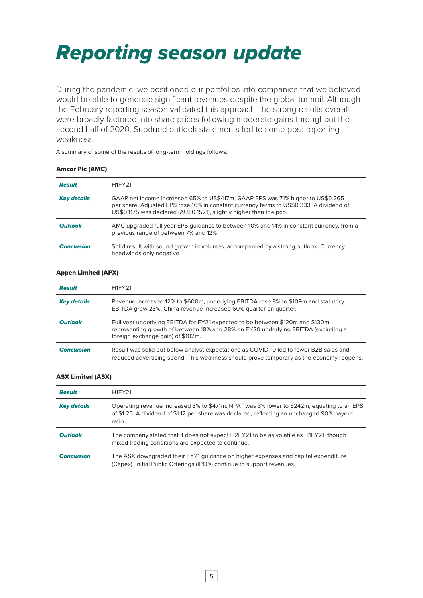# *Reporting season update*

During the pandemic, we positioned our portfolios into companies that we believed would be able to generate significant revenues despite the global turmoil. Although the February reporting season validated this approach, the strong results overall were broadly factored into share prices following moderate gains throughout the second half of 2020. Subdued outlook statements led to some post-reporting weakness.

A summary of some of the results of long-term holdings follows:

# Amcor Plc (AMC)

| <b>Result</b>      | <b>H1FY21</b>                                                                                                                                                                                                                                     |
|--------------------|---------------------------------------------------------------------------------------------------------------------------------------------------------------------------------------------------------------------------------------------------|
| <b>Key details</b> | GAAP net income increased 65% to US\$417m, GAAP EPS was 71% higher to US\$0.265<br>per share. Adjusted EPS rose 16% in constant currency terms to US\$0.333. A dividend of<br>US\$0.1175 was declared (AU\$0.1521), slightly higher than the pcp. |
| <b>Outlook</b>     | AMC upgraded full year EPS quidance to between 10% and 14% in constant currency, from a<br>previous range of between 7% and 12%.                                                                                                                  |
| <b>Conclusion</b>  | Solid result with sound growth in volumes, accompanied by a strong outlook. Currency<br>headwinds only negative.                                                                                                                                  |

#### Appen Limited (APX)

| <b>Result</b>      | H <sub>1</sub> FY <sub>21</sub>                                                                                                                                                                          |
|--------------------|----------------------------------------------------------------------------------------------------------------------------------------------------------------------------------------------------------|
| <b>Key details</b> | Revenue increased 12% to \$600m, underlying EBITDA rose 8% to \$109m and statutory<br>EBITDA grew 23%. China revenue increased 60% quarter on quarter.                                                   |
| <b>Outlook</b>     | Full year underlying EBITDA for FY21 expected to be between \$120m and \$130m,<br>representing growth of between 18% and 28% on FY20 underlying EBITDA (excluding a<br>foreign exchange gain) of \$102m. |
| <b>Conclusion</b>  | Result was solid but below analyst expectations as COVID-19 led to fewer B2B sales and<br>reduced advertising spend. This weakness should prove temporary as the economy reopens.                        |

### ASX Limited (ASX)

| <b>Result</b>      | <b>H1FY21</b>                                                                                                                                                                                     |
|--------------------|---------------------------------------------------------------------------------------------------------------------------------------------------------------------------------------------------|
|                    |                                                                                                                                                                                                   |
| <b>Key details</b> | Operating revenue increased 3% to \$471m. NPAT was 3% lower to \$242m, equating to an EPS<br>of \$1.25. A dividend of \$1.12 per share was declared, reflecting an unchanged 90% payout<br>ratio. |
| <b>Outlook</b>     | The company stated that it does not expect H2FY21 to be as volatile as H1FY21, though<br>mixed trading conditions are expected to continue.                                                       |
| <b>Conclusion</b>  | The ASX downgraded their FY21 guidance on higher expenses and capital expenditure<br>(Capex). Initial Public Offerings (IPO's) continue to support revenues.                                      |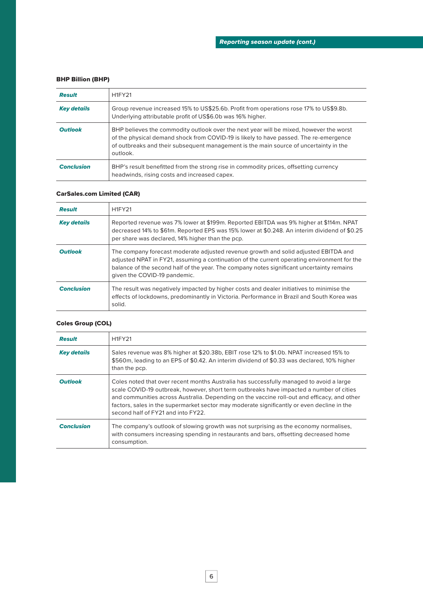# BHP Billion (BHP)

| <b>Result</b>      | <b>H1FY21</b>                                                                                                                                                                                                                                                                        |
|--------------------|--------------------------------------------------------------------------------------------------------------------------------------------------------------------------------------------------------------------------------------------------------------------------------------|
| <b>Key details</b> | Group revenue increased 15% to US\$25.6b. Profit from operations rose 17% to US\$9.8b.<br>Underlying attributable profit of US\$6.0b was 16% higher.                                                                                                                                 |
| <b>Outlook</b>     | BHP believes the commodity outlook over the next year will be mixed, however the worst<br>of the physical demand shock from COVID-19 is likely to have passed. The re-emergence<br>of outbreaks and their subsequent management is the main source of uncertainty in the<br>outlook. |
| <b>Conclusion</b>  | BHP's result benefitted from the strong rise in commodity prices, offsetting currency<br>headwinds, rising costs and increased capex.                                                                                                                                                |

# CarSales.com Limited (CAR)

| <b>Result</b>      | <b>H1FY21</b>                                                                                                                                                                                                                                                                                                   |
|--------------------|-----------------------------------------------------------------------------------------------------------------------------------------------------------------------------------------------------------------------------------------------------------------------------------------------------------------|
| <b>Key details</b> | Reported revenue was 7% lower at \$199m. Reported EBITDA was 9% higher at \$114m. NPAT<br>decreased 14% to \$61m. Reported EPS was 15% lower at \$0.248. An interim dividend of \$0.25<br>per share was declared, 14% higher than the pcp.                                                                      |
| <b>Outlook</b>     | The company forecast moderate adjusted revenue growth and solid adjusted EBITDA and<br>adjusted NPAT in FY21, assuming a continuation of the current operating environment for the<br>balance of the second half of the year. The company notes significant uncertainty remains<br>given the COVID-19 pandemic. |
| <b>Conclusion</b>  | The result was negatively impacted by higher costs and dealer initiatives to minimise the<br>effects of lockdowns, predominantly in Victoria. Performance in Brazil and South Korea was<br>solid.                                                                                                               |

# Coles Group (COL)

| <b>Result</b>      | <b>H1FY21</b>                                                                                                                                                                                                                                                                                                                                                                                                         |
|--------------------|-----------------------------------------------------------------------------------------------------------------------------------------------------------------------------------------------------------------------------------------------------------------------------------------------------------------------------------------------------------------------------------------------------------------------|
| <b>Key details</b> | Sales revenue was 8% higher at \$20.38b, EBIT rose 12% to \$1.0b. NPAT increased 15% to<br>\$560m, leading to an EPS of \$0.42. An interim dividend of \$0.33 was declared, 10% higher<br>than the pcp.                                                                                                                                                                                                               |
| <b>Outlook</b>     | Coles noted that over recent months Australia has successfully managed to avoid a large<br>scale COVID-19 outbreak, however, short term outbreaks have impacted a number of cities<br>and communities across Australia. Depending on the vaccine roll-out and efficacy, and other<br>factors, sales in the supermarket sector may moderate significantly or even decline in the<br>second half of FY21 and into FY22. |
| <b>Conclusion</b>  | The company's outlook of slowing growth was not surprising as the economy normalises,<br>with consumers increasing spending in restaurants and bars, offsetting decreased home<br>consumption.                                                                                                                                                                                                                        |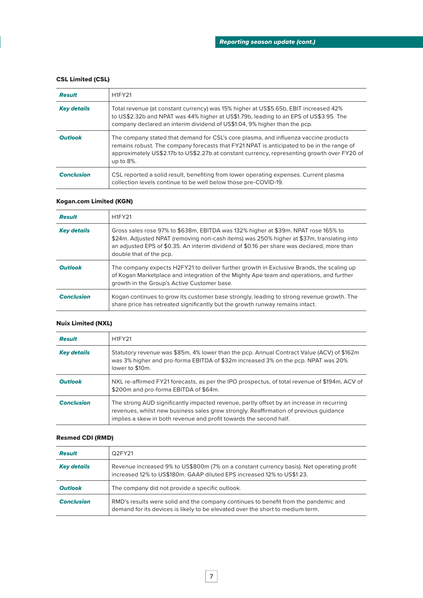# CSL Limited (CSL)

| <b>Result</b>      | <b>H1FY21</b>                                                                                                                                                                                                                                                                                     |
|--------------------|---------------------------------------------------------------------------------------------------------------------------------------------------------------------------------------------------------------------------------------------------------------------------------------------------|
| <b>Key details</b> | Total revenue (at constant currency) was 15% higher at US\$5.65b, EBIT increased 42%<br>to US\$2.32b and NPAT was 44% higher at US\$1.79b, leading to an EPS of US\$3.95. The<br>company declared an interim dividend of US\$1.04, 9% higher than the pcp.                                        |
| <b>Outlook</b>     | The company stated that demand for CSL's core plasma, and influenza vaccine products<br>remains robust. The company forecasts that FY21 NPAT is anticipated to be in the range of<br>approximately US\$2.17b to US\$2.27b at constant currency, representing growth over FY20 of<br>up to $8\%$ . |
| <b>Conclusion</b>  | CSL reported a solid result, benefiting from lower operating expenses. Current plasma<br>collection levels continue to be well below those pre-COVID-19.                                                                                                                                          |

# Kogan.com Limited (KGN)

| <b>Result</b>      | <b>H1FY21</b>                                                                                                                                                                                                                                                                                            |
|--------------------|----------------------------------------------------------------------------------------------------------------------------------------------------------------------------------------------------------------------------------------------------------------------------------------------------------|
| <b>Key details</b> | Gross sales rose 97% to \$638m, EBITDA was 132% higher at \$39m. NPAT rose 165% to<br>\$24m. Adjusted NPAT (removing non-cash items) was 250% higher at \$37m, translating into<br>an adjusted EPS of \$0.35. An interim dividend of \$0.16 per share was declared, more than<br>double that of the pcp. |
| <b>Outlook</b>     | The company expects H2FY21 to deliver further growth in Exclusive Brands, the scaling up<br>of Kogan Marketplace and integration of the Mighty Ape team and operations, and further<br>growth in the Group's Active Customer base.                                                                       |
| <b>Conclusion</b>  | Kogan continues to grow its customer base strongly, leading to strong revenue growth. The<br>share price has retreated significantly but the growth runway remains intact.                                                                                                                               |

# Nuix Limited (NXL)

| <b>Result</b>      | <b>H1FY21</b>                                                                                                                                                                                                                                           |
|--------------------|---------------------------------------------------------------------------------------------------------------------------------------------------------------------------------------------------------------------------------------------------------|
| <b>Key details</b> | Statutory revenue was \$85m, 4% lower than the pcp. Annual Contract Value (ACV) of \$162m<br>was 3% higher and pro-forma EBITDA of \$32m increased 3% on the pcp. NPAT was 20%<br>lower to \$10m.                                                       |
| <b>Outlook</b>     | NXL re-affirmed FY21 forecasts, as per the IPO prospectus, of total revenue of \$194m, ACV of<br>\$200m and pro-forma EBITDA of \$64m.                                                                                                                  |
| <b>Conclusion</b>  | The strong AUD significantly impacted revenue, partly offset by an increase in recurring<br>revenues, whilst new business sales grew strongly. Reaffirmation of previous quidance<br>implies a skew in both revenue and profit towards the second half. |

# Resmed CDI (RMD)

| <b>Result</b>      | Q2FY21                                                                                                                                                                |
|--------------------|-----------------------------------------------------------------------------------------------------------------------------------------------------------------------|
| <b>Key details</b> | Revenue increased 9% to US\$800m (7% on a constant currency basis). Net operating profit<br>increased 12% to US\$180m. GAAP diluted EPS increased 12% to US\$1.23.    |
| <b>Outlook</b>     | The company did not provide a specific outlook.                                                                                                                       |
| <b>Conclusion</b>  | RMD's results were solid and the company continues to benefit from the pandemic and<br>demand for its devices is likely to be elevated over the short to medium term. |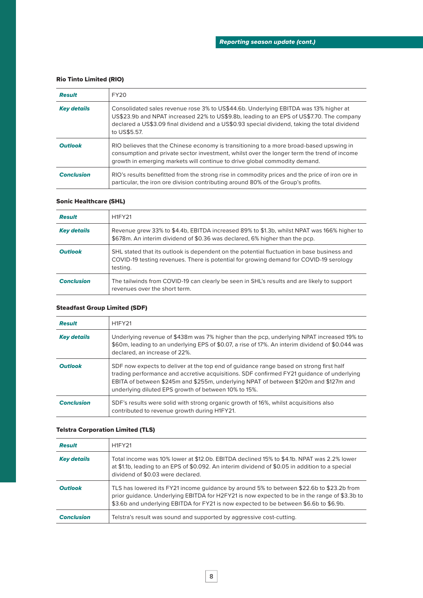# Rio Tinto Limited (RIO)

| <b>Result</b>      | FY <sub>20</sub>                                                                                                                                                                                                                                                                                  |
|--------------------|---------------------------------------------------------------------------------------------------------------------------------------------------------------------------------------------------------------------------------------------------------------------------------------------------|
| <b>Key details</b> | Consolidated sales revenue rose 3% to US\$44.6b. Underlying EBITDA was 13% higher at<br>US\$23.9b and NPAT increased 22% to US\$9.8b, leading to an EPS of US\$7.70. The company<br>declared a US\$3.09 final dividend and a US\$0.93 special dividend, taking the total dividend<br>to US\$5.57. |
| <b>Outlook</b>     | RIO believes that the Chinese economy is transitioning to a more broad-based upswing in<br>consumption and private sector investment, whilst over the longer term the trend of income<br>growth in emerging markets will continue to drive global commodity demand.                               |
| <b>Conclusion</b>  | RIO's results benefitted from the strong rise in commodity prices and the price of iron ore in<br>particular, the iron ore division contributing around 80% of the Group's profits.                                                                                                               |

# Sonic Healthcare (SHL)

| <b>Result</b>      | <b>H1FY21</b>                                                                                                                                                                                    |
|--------------------|--------------------------------------------------------------------------------------------------------------------------------------------------------------------------------------------------|
| <b>Key details</b> | Revenue grew 33% to \$4.4b, EBITDA increased 89% to \$1.3b, whilst NPAT was 166% higher to<br>\$678m. An interim dividend of \$0.36 was declared, 6% higher than the pcp.                        |
| <b>Outlook</b>     | SHL stated that its outlook is dependent on the potential fluctuation in base business and<br>COVID-19 testing revenues. There is potential for growing demand for COVID-19 serology<br>testing. |
| <b>Conclusion</b>  | The tailwinds from COVID-19 can clearly be seen in SHL's results and are likely to support<br>revenues over the short term.                                                                      |

# Steadfast Group Limited (SDF)

| <b>Result</b>      | <b>H1FY21</b>                                                                                                                                                                                                                                                                                                                       |
|--------------------|-------------------------------------------------------------------------------------------------------------------------------------------------------------------------------------------------------------------------------------------------------------------------------------------------------------------------------------|
| <b>Key details</b> | Underlying revenue of \$438m was 7% higher than the pcp, underlying NPAT increased 19% to<br>\$60m, leading to an underlying EPS of \$0.07, a rise of 17%. An interim dividend of \$0.044 was<br>declared, an increase of 22%.                                                                                                      |
| <b>Outlook</b>     | SDF now expects to deliver at the top end of guidance range based on strong first half<br>trading performance and accretive acquisitions. SDF confirmed FY21 guidance of underlying<br>EBITA of between \$245m and \$255m, underlying NPAT of between \$120m and \$127m and<br>underlying diluted EPS growth of between 10% to 15%. |
| <b>Conclusion</b>  | SDF's results were solid with strong organic growth of 16%, whilst acquisitions also<br>contributed to revenue growth during H1FY21.                                                                                                                                                                                                |

# Telstra Corporation Limited (TLS)

| <b>Result</b>      | <b>H1FY21</b>                                                                                                                                                                                                                                                                     |  |
|--------------------|-----------------------------------------------------------------------------------------------------------------------------------------------------------------------------------------------------------------------------------------------------------------------------------|--|
| <b>Key details</b> | Total income was 10% lower at \$12.0b. EBITDA declined 15% to \$4.1b. NPAT was 2.2% lower<br>at \$1.1b, leading to an EPS of \$0.092. An interim dividend of \$0.05 in addition to a special<br>dividend of \$0.03 were declared.                                                 |  |
| <b>Outlook</b>     | TLS has lowered its FY21 income guidance by around 5% to between \$22.6b to \$23.2b from<br>prior quidance. Underlying EBITDA for H2FY21 is now expected to be in the range of \$3.3b to<br>\$3.6b and underlying EBITDA for FY21 is now expected to be between \$6.6b to \$6.9b. |  |
| <b>Conclusion</b>  | Telstra's result was sound and supported by aggressive cost-cutting.                                                                                                                                                                                                              |  |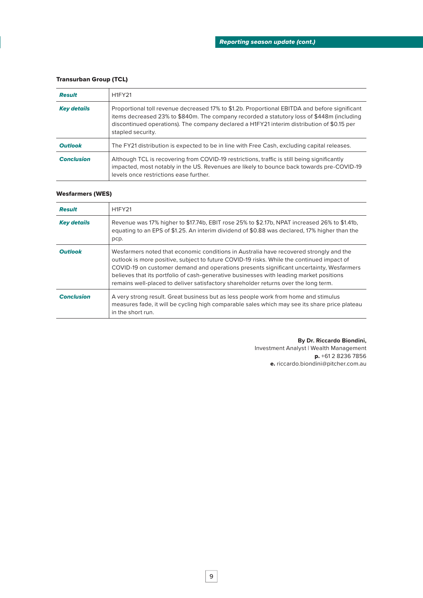#### Transurban Group (TCL)

| <b>Result</b>      | <b>H1FY21</b>                                                                                                                                                                                                                                                                                                 |
|--------------------|---------------------------------------------------------------------------------------------------------------------------------------------------------------------------------------------------------------------------------------------------------------------------------------------------------------|
| <b>Key details</b> | Proportional toll revenue decreased 17% to \$1.2b. Proportional EBITDA and before significant<br>items decreased 23% to \$840m. The company recorded a statutory loss of \$448m (including<br>discontinued operations). The company declared a H1FY21 interim distribution of \$0.15 per<br>stapled security. |
| <b>Outlook</b>     | The FY21 distribution is expected to be in line with Free Cash, excluding capital releases.                                                                                                                                                                                                                   |
| <b>Conclusion</b>  | Although TCL is recovering from COVID-19 restrictions, traffic is still being significantly<br>impacted, most notably in the US. Revenues are likely to bounce back towards pre-COVID-19<br>levels once restrictions ease further.                                                                            |

### Wesfarmers (WES)

| <b>Result</b>      | <b>H1FY21</b>                                                                                                                                                                                                                                                                                                                                                                                                                                                    |
|--------------------|------------------------------------------------------------------------------------------------------------------------------------------------------------------------------------------------------------------------------------------------------------------------------------------------------------------------------------------------------------------------------------------------------------------------------------------------------------------|
| <b>Key details</b> | Revenue was 17% higher to \$17.74b, EBIT rose 25% to \$2.17b, NPAT increased 26% to \$1.41b,<br>equating to an EPS of \$1.25. An interim dividend of \$0.88 was declared, 17% higher than the<br>pcp.                                                                                                                                                                                                                                                            |
| <b>Outlook</b>     | Wesfarmers noted that economic conditions in Australia have recovered strongly and the<br>outlook is more positive, subject to future COVID-19 risks. While the continued impact of<br>COVID-19 on customer demand and operations presents significant uncertainty, Wesfarmers<br>believes that its portfolio of cash-generative businesses with leading market positions<br>remains well-placed to deliver satisfactory shareholder returns over the long term. |
| <b>Conclusion</b>  | A very strong result. Great business but as less people work from home and stimulus<br>measures fade, it will be cycling high comparable sales which may see its share price plateau<br>in the short run.                                                                                                                                                                                                                                                        |

**By Dr. Riccardo Biondini,**

Investment Analyst | Wealth Management p. +61 2 8236 7856 e. riccardo.biondini@pitcher.com.au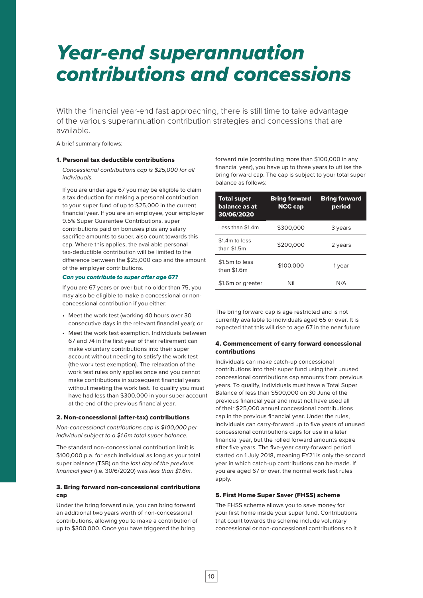# *Year-end superannuation contributions and concessions*

With the financial year-end fast approaching, there is still time to take advantage of the various superannuation contribution strategies and concessions that are available.

A brief summary follows:

#### 1. Personal tax deductible contributions

*Concessional contributions cap is \$25,000 for all individuals.* 

If you are under age 67 you may be eligible to claim a tax deduction for making a personal contribution to your super fund of up to \$25,000 in the current financial year. If you are an employee, your employer 9.5% Super Guarantee Contributions, super contributions paid on bonuses plus any salary sacrifice amounts to super, also count towards this cap. Where this applies, the available personal tax-deductible contribution will be limited to the difference between the \$25,000 cap and the amount of the employer contributions.

#### *Can you contribute to super after age 67?*

If you are 67 years or over but no older than 75, you may also be eligible to make a concessional or nonconcessional contribution if you either:

- Meet the work test (working 40 hours over 30 consecutive days in the relevant financial year); or
- Meet the work test exemption. Individuals between 67 and 74 in the first year of their retirement can make voluntary contributions into their super account without needing to satisfy the work test (the work test exemption). The relaxation of the work test rules only applies once and you cannot make contributions in subsequent financial years without meeting the work test. To qualify you must have had less than \$300,000 in your super account at the end of the previous financial year.

#### 2. Non-concessional (after-tax) contributions

*Non-concessional contributions cap is \$100,000 per individual subject to a \$1.6m total super balance.* 

The standard non-concessional contribution limit is \$100,000 p.a. for each individual as long as your total super balance (TSB) on the *last day of the previous financial year* (i.e. 30/6/2020) was *less than \$1.6m*.

#### 3. Bring forward non-concessional contributions cap

Under the bring forward rule, you can bring forward an additional two years worth of non-concessional contributions, allowing you to make a contribution of up to \$300,000. Once you have triggered the bring

forward rule (contributing more than \$100,000 in any financial year), you have up to three years to utilise the bring forward cap. The cap is subject to your total super balance as follows:

| <b>Total super</b><br>balance as at<br>30/06/2020 | <b>Bring forward</b><br><b>NCC cap</b> | <b>Bring forward</b><br>period |
|---------------------------------------------------|----------------------------------------|--------------------------------|
| Less than \$1.4m                                  | \$300,000                              | 3 years                        |
| \$1.4m to less<br>than \$1.5m                     | \$200,000                              | 2 years                        |
| \$1.5m to less<br>than $$1.6m$                    | \$100,000                              | 1 year                         |
| \$1.6m or greater                                 | Nil                                    | N/A                            |

The bring forward cap is age restricted and is not currently available to individuals aged 65 or over. It is expected that this will rise to age 67 in the near future.

#### 4. Commencement of carry forward concessional contributions

Individuals can make catch-up concessional contributions into their super fund using their unused concessional contributions cap amounts from previous years. To qualify, individuals must have a Total Super Balance of less than \$500,000 on 30 June of the previous financial year and must not have used all of their \$25,000 annual concessional contributions cap in the previous financial year. Under the rules, individuals can carry-forward up to five years of unused concessional contributions caps for use in a later financial year, but the rolled forward amounts expire after five years. The five-year carry-forward period started on 1 July 2018, meaning FY21 is only the second year in which catch-up contributions can be made. If you are aged 67 or over, the normal work test rules apply.

### 5. First Home Super Saver (FHSS) scheme

The FHSS scheme allows you to save money for your first home inside your super fund. Contributions that count towards the scheme include voluntary concessional or non-concessional contributions so it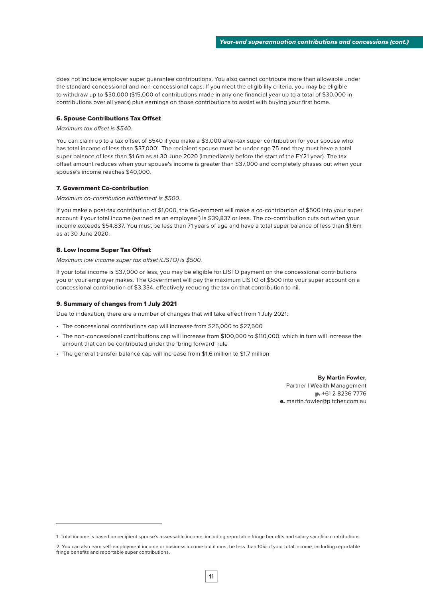does not include employer super guarantee contributions. You also cannot contribute more than allowable under the standard concessional and non-concessional caps. If you meet the eligibility criteria, you may be eligible to withdraw up to \$30,000 (\$15,000 of contributions made in any one financial year up to a total of \$30,000 in contributions over all years) plus earnings on those contributions to assist with buying your first home.

#### 6. Spouse Contributions Tax Offset

#### *Maximum tax offset is \$540.*

You can claim up to a tax offset of \$540 if you make a \$3,000 after-tax super contribution for your spouse who has total income of less than \$37,000'. The recipient spouse must be under age 75 and they must have a total super balance of less than \$1.6m as at 30 June 2020 (immediately before the start of the FY21 year). The tax offset amount reduces when your spouse's income is greater than \$37,000 and completely phases out when your spouse's income reaches \$40,000.

#### 7. Government Co-contribution

*Maximum co-contribution entitlement is \$500.* 

If you make a post-tax contribution of \$1,000, the Government will make a co-contribution of \$500 into your super account if your total income (earned as an employee<sup>2</sup>) is \$39,837 or less. The co-contribution cuts out when your income exceeds \$54,837. You must be less than 71 years of age and have a total super balance of less than \$1.6m as at 30 June 2020.

#### 8. Low Income Super Tax Offset

*Maximum low income super tax offset (LISTO) is \$500.* 

If your total income is \$37,000 or less, you may be eligible for LISTO payment on the concessional contributions you or your employer makes. The Government will pay the maximum LISTO of \$500 into your super account on a concessional contribution of \$3,334, effectively reducing the tax on that contribution to nil.

#### 9. Summary of changes from 1 July 2021

Due to indexation, there are a number of changes that will take effect from 1 July 2021:

- The concessional contributions cap will increase from \$25,000 to \$27,500
- The non-concessional contributions cap will increase from \$100,000 to \$110,000, which in turn will increase the amount that can be contributed under the 'bring forward' rule
- The general transfer balance cap will increase from \$1.6 million to \$1.7 million

**By Martin Fowler**, Partner | Wealth Management p. +61 2 8236 7776 e. martin.fowler@pitcher.com.au

<sup>1.</sup> Total income is based on recipient spouse's assessable income, including reportable fringe benefits and salary sacrifice contributions.

<sup>2.</sup> You can also earn self-employment income or business income but it must be less than 10% of your total income, including reportable fringe benefits and reportable super contributions.